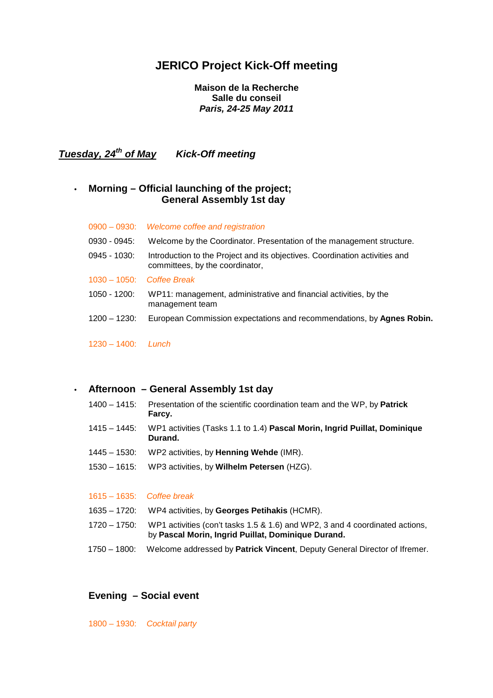# **JERICO Project Kick-Off meeting**

### **Maison de la Recherche Salle du conseil Paris, 24-25 May 2011**

**Tuesday, 24th of May Kick-Off meeting** 

## • **Morning – Official launching of the project; General Assembly 1st day**

|                       | 0900 - 0930: Welcome coffee and registration                                                                   |
|-----------------------|----------------------------------------------------------------------------------------------------------------|
| 0930 - 0945:          | Welcome by the Coordinator. Presentation of the management structure.                                          |
| $0945 - 1030$ :       | Introduction to the Project and its objectives. Coordination activities and<br>committees, by the coordinator, |
|                       | $1030 - 1050$ : Coffee Break                                                                                   |
| 1050 - 1200:          | WP11: management, administrative and financial activities, by the<br>management team                           |
| $1200 - 1230$ :       | European Commission expectations and recommendations, by Agnes Robin.                                          |
| $1230 - 1400$ : Lunch |                                                                                                                |

### • **Afternoon – General Assembly 1st day**

- 1400 1415: Presentation of the scientific coordination team and the WP, by **Patrick Farcy.**
- 1415 1445: WP1 activities (Tasks 1.1 to 1.4) **Pascal Morin, Ingrid Puillat, Dominique Durand.**
- 1445 1530: WP2 activities, by **Henning Wehde** (IMR).
- 1530 1615: WP3 activities, by **Wilhelm Petersen** (HZG).

#### 1615 – 1635: Coffee break

- 1635 1720: WP4 activities, by **Georges Petihakis** (HCMR).
- 1720 1750: WP1 activities (con't tasks 1.5 & 1.6) and WP2, 3 and 4 coordinated actions, by **Pascal Morin, Ingrid Puillat, Dominique Durand.**
- 1750 1800: Welcome addressed by **Patrick Vincent**, Deputy General Director of Ifremer.

## **Evening – Social event**

1800 – 1930: Cocktail party